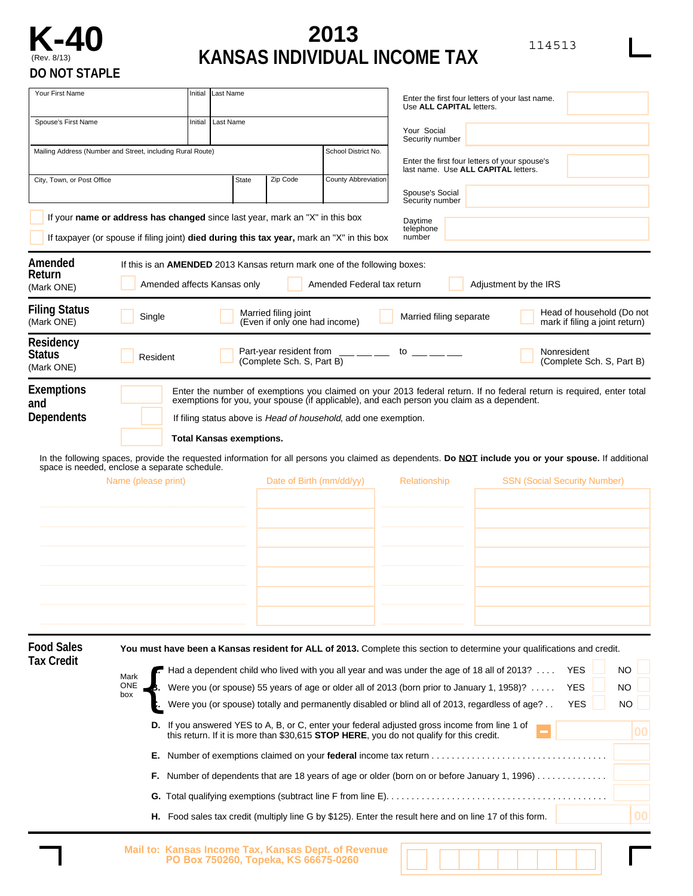

## **K-40 2013 2013 2013 2014 2015 2016 2018 2018 2018 2018 2018 2018 2018 2019 2019 2019 2019 2019 2019 2019 2019 2019 2020 2020 2020 2020 2020 2020 2020 2020 2020** (Rev. 8/13) **KANSAS INDIVIDUAL INCOME TAX**

| Your First Name                                 |                                                                                                                                                                                                                                                                                                                                   | Initial                                                                                    | Last Name                       |                                                                                                                                                                                                                                                                                            |                                                                                                                | Enter the first four letters of your last name.<br>Use ALL CAPITAL letters.                                                                                                                                                                                                                                                                                                                   |                                     |                                |                                     |  |  |  |  |  |
|-------------------------------------------------|-----------------------------------------------------------------------------------------------------------------------------------------------------------------------------------------------------------------------------------------------------------------------------------------------------------------------------------|--------------------------------------------------------------------------------------------|---------------------------------|--------------------------------------------------------------------------------------------------------------------------------------------------------------------------------------------------------------------------------------------------------------------------------------------|----------------------------------------------------------------------------------------------------------------|-----------------------------------------------------------------------------------------------------------------------------------------------------------------------------------------------------------------------------------------------------------------------------------------------------------------------------------------------------------------------------------------------|-------------------------------------|--------------------------------|-------------------------------------|--|--|--|--|--|
| Spouse's First Name                             |                                                                                                                                                                                                                                                                                                                                   |                                                                                            | Last Name                       |                                                                                                                                                                                                                                                                                            |                                                                                                                | Your Social<br>Security number                                                                                                                                                                                                                                                                                                                                                                |                                     |                                |                                     |  |  |  |  |  |
|                                                 | Mailing Address (Number and Street, including Rural Route)                                                                                                                                                                                                                                                                        |                                                                                            |                                 |                                                                                                                                                                                                                                                                                            | School District No.                                                                                            | Enter the first four letters of your spouse's<br>last name. Use ALL CAPITAL letters.                                                                                                                                                                                                                                                                                                          |                                     |                                |                                     |  |  |  |  |  |
| City, Town, or Post Office                      |                                                                                                                                                                                                                                                                                                                                   |                                                                                            | State                           | Zip Code                                                                                                                                                                                                                                                                                   | County Abbreviation                                                                                            | Spouse's Social<br>Security number                                                                                                                                                                                                                                                                                                                                                            |                                     |                                |                                     |  |  |  |  |  |
|                                                 | If your name or address has changed since last year, mark an "X" in this box<br>If taxpayer (or spouse if filing joint) died during this tax year, mark an "X" in this box                                                                                                                                                        |                                                                                            |                                 |                                                                                                                                                                                                                                                                                            |                                                                                                                | Daytime<br>telephone<br>number                                                                                                                                                                                                                                                                                                                                                                |                                     |                                |                                     |  |  |  |  |  |
| Amended<br>Return<br>(Mark ONE)                 |                                                                                                                                                                                                                                                                                                                                   |                                                                                            | Amended affects Kansas only     |                                                                                                                                                                                                                                                                                            | If this is an <b>AMENDED</b> 2013 Kansas return mark one of the following boxes:<br>Amended Federal tax return |                                                                                                                                                                                                                                                                                                                                                                                               | Adjustment by the IRS               |                                |                                     |  |  |  |  |  |
| <b>Filing Status</b><br>(Mark ONE)              | Single                                                                                                                                                                                                                                                                                                                            |                                                                                            |                                 | Married filing joint<br>(Even if only one had income)                                                                                                                                                                                                                                      |                                                                                                                | Married filing separate                                                                                                                                                                                                                                                                                                                                                                       |                                     | mark if filing a joint return) | Head of household (Do not           |  |  |  |  |  |
| <b>Residency</b><br><b>Status</b><br>(Mark ONE) | Resident                                                                                                                                                                                                                                                                                                                          |                                                                                            |                                 | Part-year resident from<br>(Complete Sch. S, Part B)                                                                                                                                                                                                                                       |                                                                                                                | to $\_\_$                                                                                                                                                                                                                                                                                                                                                                                     |                                     | Nonresident                    | (Complete Sch. S, Part B)           |  |  |  |  |  |
| <b>Exemptions</b><br>and<br><b>Dependents</b>   | space is needed, enclose a separate schedule.<br>Name (please print)                                                                                                                                                                                                                                                              |                                                                                            | <b>Total Kansas exemptions.</b> | Date of Birth (mm/dd/yy)                                                                                                                                                                                                                                                                   | If filing status above is Head of household, add one exemption.                                                | Enter the number of exemptions you claimed on your 2013 federal return. If no federal return is required, enter total<br>exemptions for you, your spouse (if applicable), and each person you claim as a dependent.<br>In the following spaces, provide the requested information for all persons you claimed as dependents. Do NOT include you or your spouse. If additional<br>Relationship | <b>SSN (Social Security Number)</b> |                                |                                     |  |  |  |  |  |
|                                                 |                                                                                                                                                                                                                                                                                                                                   |                                                                                            |                                 |                                                                                                                                                                                                                                                                                            |                                                                                                                |                                                                                                                                                                                                                                                                                                                                                                                               |                                     |                                |                                     |  |  |  |  |  |
| <b>Food Sales</b><br><b>Tax Credit</b>          | You must have been a Kansas resident for ALL of 2013. Complete this section to determine your qualifications and credit.                                                                                                                                                                                                          |                                                                                            |                                 |                                                                                                                                                                                                                                                                                            |                                                                                                                |                                                                                                                                                                                                                                                                                                                                                                                               |                                     |                                |                                     |  |  |  |  |  |
|                                                 | Mark<br>ONE,<br>В.<br>box<br>С.                                                                                                                                                                                                                                                                                                   |                                                                                            |                                 | Had a dependent child who lived with you all year and was under the age of 18 all of 2013?<br>Were you (or spouse) 55 years of age or older all of 2013 (born prior to January 1, 1958)?<br>Were you (or spouse) totally and permanently disabled or blind all of 2013, regardless of age? |                                                                                                                |                                                                                                                                                                                                                                                                                                                                                                                               |                                     |                                | <b>NO</b><br><b>NO</b><br><b>NO</b> |  |  |  |  |  |
|                                                 | <b>D.</b> If you answered YES to A, B, or C, enter your federal adjusted gross income from line 1 of<br>this return. If it is more than \$30,615 <b>STOP HERE</b> , you do not qualify for this credit.<br>Е.<br>F.<br>Food sales tax credit (multiply line G by \$125). Enter the result here and on line 17 of this form.<br>н. | Number of dependents that are 18 years of age or older (born on or before January 1, 1996) | 00<br>00                        |                                                                                                                                                                                                                                                                                            |                                                                                                                |                                                                                                                                                                                                                                                                                                                                                                                               |                                     |                                |                                     |  |  |  |  |  |
|                                                 |                                                                                                                                                                                                                                                                                                                                   |                                                                                            |                                 | PO Box 750260, Topeka, KS 66675-0260                                                                                                                                                                                                                                                       | Mail to: Kansas Income Tax, Kansas Dept. of Revenue                                                            |                                                                                                                                                                                                                                                                                                                                                                                               |                                     |                                |                                     |  |  |  |  |  |